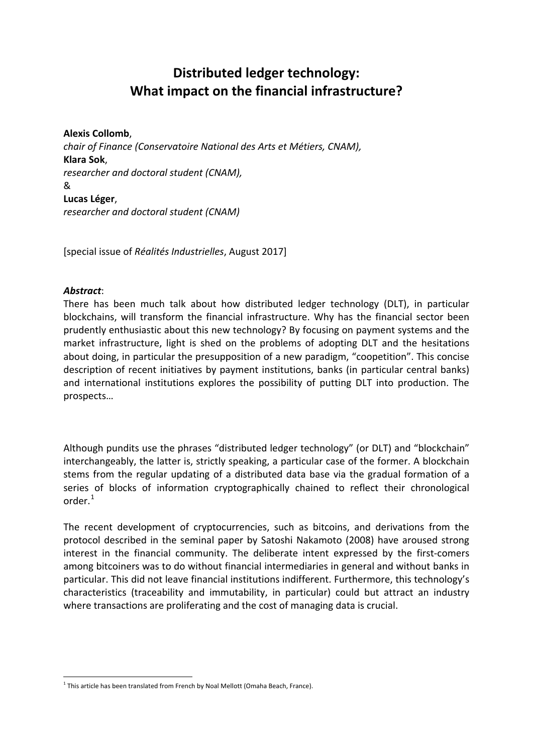# **Distributed ledger technology: What impact on the financial infrastructure?**

#### **Alexis Collomb**,

*chair of Finance (Conservatoire National des Arts et Métiers, CNAM),* **Klara Sok**, *researcher and doctoral student (CNAM),*  & **Lucas Léger**, *researcher and doctoral student (CNAM)*

[special issue of *Réalités Industrielles*, August 2017]

#### *Abstract*:

There has been much talk about how distributed ledger technology (DLT), in particular blockchains, will transform the financial infrastructure. Why has the financial sector been prudently enthusiastic about this new technology? By focusing on payment systems and the market infrastructure, light is shed on the problems of adopting DLT and the hesitations about doing, in particular the presupposition of a new paradigm, "coopetition". This concise description of recent initiatives by payment institutions, banks (in particular central banks) and international institutions explores the possibility of putting DLT into production. The prospects…

Although pundits use the phrases "distributed ledger technology" (or DLT) and "blockchain" interchangeably, the latter is, strictly speaking, a particular case of the former. A blockchain stems from the regular updating of a distributed data base via the gradual formation of a series of blocks of information cryptographically chained to reflect their chronological order.[1](#page-0-0)

The recent development of cryptocurrencies, such as bitcoins, and derivations from the protocol described in the seminal paper by Satoshi Nakamoto (2008) have aroused strong interest in the financial community. The deliberate intent expressed by the first-comers among bitcoiners was to do without financial intermediaries in general and without banks in particular. This did not leave financial institutions indifferent. Furthermore, this technology's characteristics (traceability and immutability, in particular) could but attract an industry where transactions are proliferating and the cost of managing data is crucial.

<span id="page-0-0"></span> $1$  This article has been translated from French by Noal Mellott (Omaha Beach, France).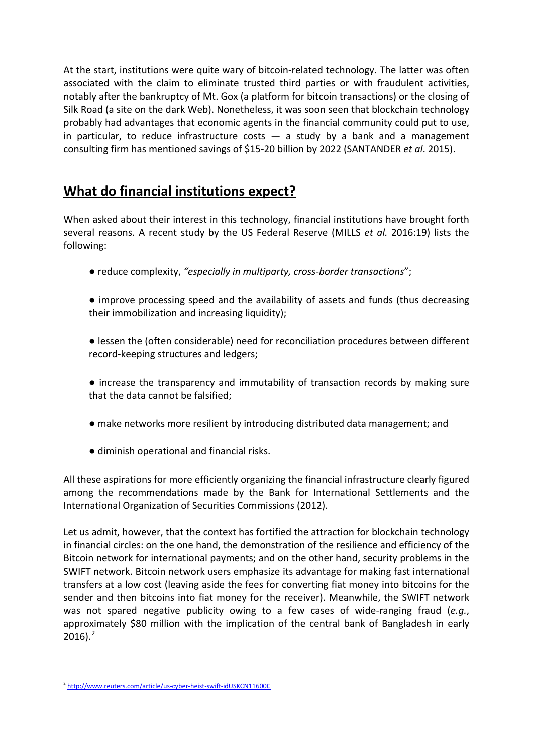At the start, institutions were quite wary of bitcoin-related technology. The latter was often associated with the claim to eliminate trusted third parties or with fraudulent activities, notably after the bankruptcy of Mt. Gox (a platform for bitcoin transactions) or the closing of Silk Road (a site on the dark Web). Nonetheless, it was soon seen that blockchain technology probably had advantages that economic agents in the financial community could put to use, in particular, to reduce infrastructure costs  $-$  a study by a bank and a management consulting firm has mentioned savings of \$15-20 billion by 2022 (SANTANDER *et al*. 2015).

### **What do financial institutions expect?**

When asked about their interest in this technology, financial institutions have brought forth several reasons. A recent study by the US Federal Reserve (MILLS *et al.* 2016:19) lists the following:

- reduce complexity, *"especially in multiparty, cross-border transactions*";
- improve processing speed and the availability of assets and funds (thus decreasing their immobilization and increasing liquidity);
- lessen the (often considerable) need for reconciliation procedures between different record-keeping structures and ledgers;
- increase the transparency and immutability of transaction records by making sure that the data cannot be falsified;
- make networks more resilient by introducing distributed data management; and
- diminish operational and financial risks.

All these aspirations for more efficiently organizing the financial infrastructure clearly figured among the recommendations made by the Bank for International Settlements and the International Organization of Securities Commissions (2012).

Let us admit, however, that the context has fortified the attraction for blockchain technology in financial circles: on the one hand, the demonstration of the resilience and efficiency of the Bitcoin network for international payments; and on the other hand, security problems in the SWIFT network. Bitcoin network users emphasize its advantage for making fast international transfers at a low cost (leaving aside the fees for converting fiat money into bitcoins for the sender and then bitcoins into fiat money for the receiver). Meanwhile, the SWIFT network was not spared negative publicity owing to a few cases of wide-ranging fraud (*e.g.*, approximately \$80 million with the implication of the central bank of Bangladesh in early  $2016$  $2016$ ).<sup>2</sup>

<span id="page-1-0"></span><sup>2</sup> <http://www.reuters.com/article/us-cyber-heist-swift-idUSKCN11600C>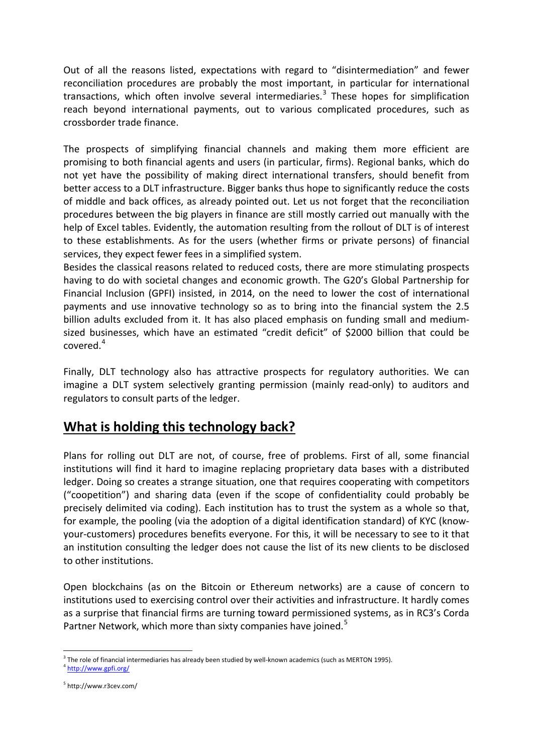Out of all the reasons listed, expectations with regard to "disintermediation" and fewer reconciliation procedures are probably the most important, in particular for international transactions, which often involve several intermediaries.<sup>[3](#page-2-0)</sup> These hopes for simplification reach beyond international payments, out to various complicated procedures, such as crossborder trade finance.

The prospects of simplifying financial channels and making them more efficient are promising to both financial agents and users (in particular, firms). Regional banks, which do not yet have the possibility of making direct international transfers, should benefit from better access to a DLT infrastructure. Bigger banks thus hope to significantly reduce the costs of middle and back offices, as already pointed out. Let us not forget that the reconciliation procedures between the big players in finance are still mostly carried out manually with the help of Excel tables. Evidently, the automation resulting from the rollout of DLT is of interest to these establishments. As for the users (whether firms or private persons) of financial services, they expect fewer fees in a simplified system.

Besides the classical reasons related to reduced costs, there are more stimulating prospects having to do with societal changes and economic growth. The G20's Global Partnership for Financial Inclusion (GPFI) insisted, in 2014, on the need to lower the cost of international payments and use innovative technology so as to bring into the financial system the 2.5 billion adults excluded from it. It has also placed emphasis on funding small and mediumsized businesses, which have an estimated "credit deficit" of \$2000 billion that could be covered.[4](#page-2-1)

Finally, DLT technology also has attractive prospects for regulatory authorities. We can imagine a DLT system selectively granting permission (mainly read-only) to auditors and regulators to consult parts of the ledger.

## **What is holding this technology back?**

Plans for rolling out DLT are not, of course, free of problems. First of all, some financial institutions will find it hard to imagine replacing proprietary data bases with a distributed ledger. Doing so creates a strange situation, one that requires cooperating with competitors ("coopetition") and sharing data (even if the scope of confidentiality could probably be precisely delimited via coding). Each institution has to trust the system as a whole so that, for example, the pooling (via the adoption of a digital identification standard) of KYC (knowyour-customers) procedures benefits everyone. For this, it will be necessary to see to it that an institution consulting the ledger does not cause the list of its new clients to be disclosed to other institutions.

Open blockchains (as on the Bitcoin or Ethereum networks) are a cause of concern to institutions used to exercising control over their activities and infrastructure. It hardly comes as a surprise that financial firms are turning toward permissioned systems, as in RC3's Corda Partner Network, which more than sixty companies have joined.<sup>[5](#page-2-2)</sup>

<span id="page-2-0"></span> $3$  The role of financial intermediaries has already been studied by well-known academics (such as MERTON 1995).

<span id="page-2-1"></span> $^4$  <http://www.gpfi.org/>

<span id="page-2-2"></span><sup>5</sup> http://www.r3cev.com/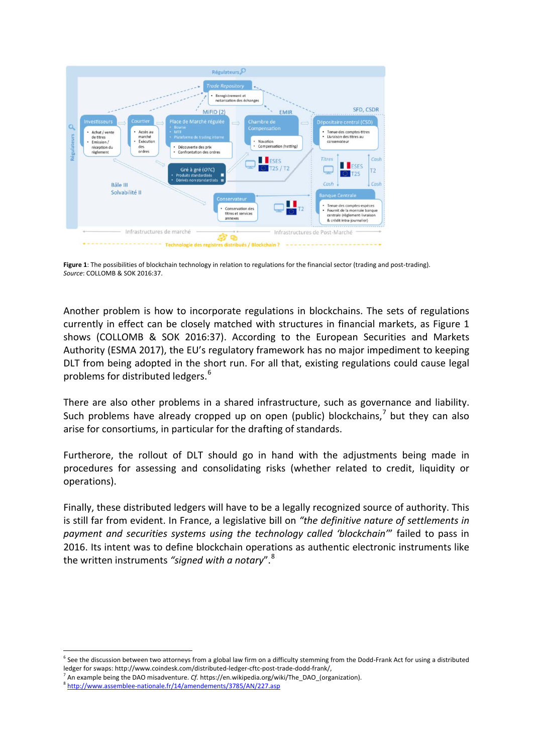

**Figure 1**: The possibilities of blockchain technology in relation to regulations for the financial sector (trading and post-trading). *Source*: COLLOMB & SOK 2016:37.

Another problem is how to incorporate regulations in blockchains. The sets of regulations currently in effect can be closely matched with structures in financial markets, as Figure 1 shows (COLLOMB & SOK 2016:37). According to the European Securities and Markets Authority (ESMA 2017), the EU's regulatory framework has no major impediment to keeping DLT from being adopted in the short run. For all that, existing regulations could cause legal problems for distributed ledgers.<sup>[6](#page-3-0)</sup>

There are also other problems in a shared infrastructure, such as governance and liability. Such problems have already cropped up on open (public) blockchains, $<sup>7</sup>$  $<sup>7</sup>$  $<sup>7</sup>$  but they can also</sup> arise for consortiums, in particular for the drafting of standards.

Furtherore, the rollout of DLT should go in hand with the adjustments being made in procedures for assessing and consolidating risks (whether related to credit, liquidity or operations).

Finally, these distributed ledgers will have to be a legally recognized source of authority. This is still far from evident. In France, a legislative bill on *"the definitive nature of settlements in payment and securities systems using the technology called 'blockchain'*" failed to pass in 2016. Its intent was to define blockchain operations as authentic electronic instruments like the written instruments *"signed with a notary*".[8](#page-3-2)

<span id="page-3-0"></span> $6$  See the discussion between two attorneys from a global law firm on a difficulty stemming from the Dodd-Frank Act for using a distributed

ledger for swaps: http://www.coindesk.com/distributed-ledger-cftc-post-trade-dodd-frank/,<br><sup>7</sup> An example being the DAO misadventure. *Cf.* https://en.wikipedia.org/wiki/The\_DAO\_(organization).

<span id="page-3-2"></span><span id="page-3-1"></span><sup>8</sup> <http://www.assemblee-nationale.fr/14/amendements/3785/AN/227.asp>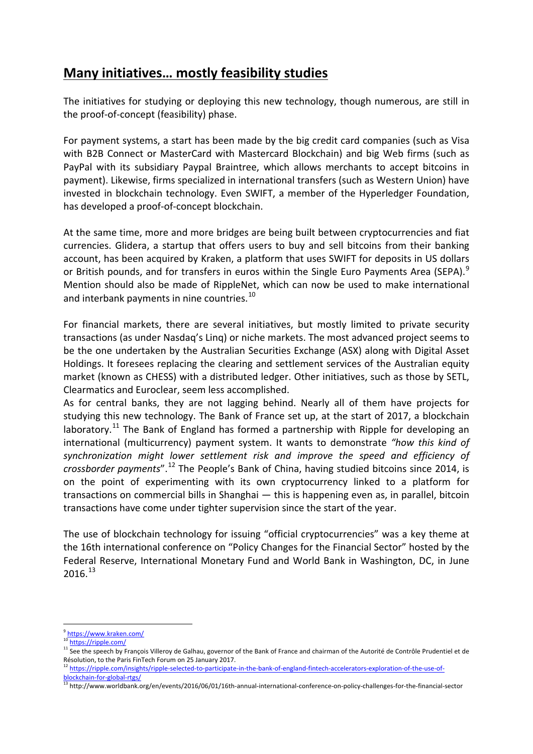## **Many initiatives… mostly feasibility studies**

The initiatives for studying or deploying this new technology, though numerous, are still in the proof-of-concept (feasibility) phase.

For payment systems, a start has been made by the big credit card companies (such as Visa with B2B Connect or MasterCard with Mastercard Blockchain) and big Web firms (such as PayPal with its subsidiary Paypal Braintree, which allows merchants to accept bitcoins in payment). Likewise, firms specialized in international transfers (such as Western Union) have invested in blockchain technology. Even SWIFT, a member of the Hyperledger Foundation, has developed a proof-of-concept blockchain.

At the same time, more and more bridges are being built between cryptocurrencies and fiat currencies. Glidera, a startup that offers users to buy and sell bitcoins from their banking account, has been acquired by Kraken, a platform that uses SWIFT for deposits in US dollars or British pounds, and for transfers in euros within the Single Euro Payments Area (SEPA).<sup>[9](#page-4-0)</sup> Mention should also be made of RippleNet, which can now be used to make international and interbank payments in nine countries.<sup>[10](#page-4-1)</sup>

For financial markets, there are several initiatives, but mostly limited to private security transactions (as under Nasdaq's Linq) or niche markets. The most advanced project seems to be the one undertaken by the Australian Securities Exchange (ASX) along with Digital Asset Holdings. It foresees replacing the clearing and settlement services of the Australian equity market (known as CHESS) with a distributed ledger. Other initiatives, such as those by SETL, Clearmatics and Euroclear, seem less accomplished.

As for central banks, they are not lagging behind. Nearly all of them have projects for studying this new technology. The Bank of France set up, at the start of 2017, a blockchain laboratory.<sup>[11](#page-4-2)</sup> The Bank of England has formed a partnership with Ripple for developing an international (multicurrency) payment system. It wants to demonstrate *"how this kind of synchronization might lower settlement risk and improve the speed and efficiency of crossborder payments*".[12](#page-4-3) The People's Bank of China, having studied bitcoins since 2014, is on the point of experimenting with its own cryptocurrency linked to a platform for transactions on commercial bills in Shanghai — this is happening even as, in parallel, bitcoin transactions have come under tighter supervision since the start of the year.

The use of blockchain technology for issuing "official cryptocurrencies" was a key theme at the 16th international conference on "Policy Changes for the Financial Sector" hosted by the Federal Reserve, International Monetary Fund and World Bank in Washington, DC, in June 2016.[13](#page-4-4)

<sup>9</sup> <https://www.kraken.com/>

<span id="page-4-1"></span><span id="page-4-0"></span><sup>10</sup> <https://ripple.com/>

<span id="page-4-2"></span><sup>&</sup>lt;sup>11</sup> See the speech by François Villeroy de Galhau, governor of the Bank of France and chairman of the Autorité de Contrôle Prudentiel et de Résolution, to the Paris FinTech Forum on 25 January 2017.

<span id="page-4-3"></span><sup>&</sup>lt;sup>12</sup> [https://ripple.com/insights/ripple-selected-to-participate-in-the-bank-of-england-fintech-accelerators-exploration-of-the-use-of](https://ripple.com/insights/ripple-selected-to-participate-in-the-bank-of-england-fintech-accelerators-exploration-of-the-use-of-blockchain-for-global-rtgs/)[blockchain-for-global-rtgs/](https://ripple.com/insights/ripple-selected-to-participate-in-the-bank-of-england-fintech-accelerators-exploration-of-the-use-of-blockchain-for-global-rtgs/)

<span id="page-4-4"></span><sup>13</sup> http://www.worldbank.org/en/events/2016/06/01/16th-annual-international-conference-on-policy-challenges-for-the-financial-sector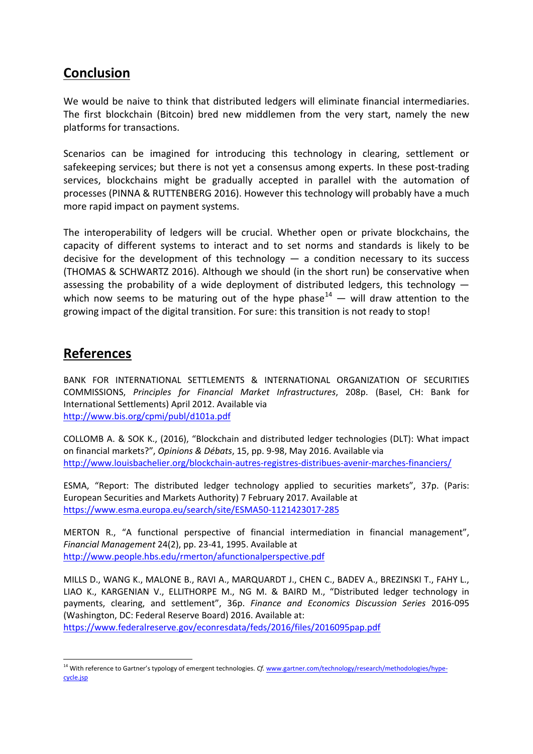#### **Conclusion**

We would be naive to think that distributed ledgers will eliminate financial intermediaries. The first blockchain (Bitcoin) bred new middlemen from the very start, namely the new platforms for transactions.

Scenarios can be imagined for introducing this technology in clearing, settlement or safekeeping services; but there is not yet a consensus among experts. In these post-trading services, blockchains might be gradually accepted in parallel with the automation of processes (PINNA & RUTTENBERG 2016). However this technology will probably have a much more rapid impact on payment systems.

The interoperability of ledgers will be crucial. Whether open or private blockchains, the capacity of different systems to interact and to set norms and standards is likely to be decisive for the development of this technology  $-$  a condition necessary to its success (THOMAS & SCHWARTZ 2016). Although we should (in the short run) be conservative when assessing the probability of a wide deployment of distributed ledgers, this technology  $-$ which now seems to be maturing out of the hype phase<sup>[14](#page-5-0)</sup> — will draw attention to the growing impact of the digital transition. For sure: this transition is not ready to stop!

### **References**

BANK FOR INTERNATIONAL SETTLEMENTS & INTERNATIONAL ORGANIZATION OF SECURITIES COMMISSIONS, *Principles for Financial Market Infrastructures*, 208p. (Basel, CH: Bank for International Settlements) April 2012. Available via <http://www.bis.org/cpmi/publ/d101a.pdf>

COLLOMB A. & SOK K., (2016), "Blockchain and distributed ledger technologies (DLT): What impact on financial markets?", *Opinions & Débats*, 15, pp. 9-98, May 2016. Available via <http://www.louisbachelier.org/blockchain-autres-registres-distribues-avenir-marches-financiers/>

ESMA, "Report: The distributed ledger technology applied to securities markets", 37p. (Paris: European Securities and Markets Authority) 7 February 2017. Available at <https://www.esma.europa.eu/search/site/ESMA50-1121423017-285>

MERTON R., "A functional perspective of financial intermediation in financial management", *Financial Management* 24(2), pp. 23-41, 1995. Available at <http://www.people.hbs.edu/rmerton/afunctionalperspective.pdf>

MILLS D., WANG K., MALONE B., RAVI A., MARQUARDT J., CHEN C., BADEV A., BREZINSKI T., FAHY L., LIAO K., KARGENIAN V., ELLITHORPE M., NG M. & BAIRD M., "Distributed ledger technology in payments, clearing, and settlement", 36p. *Finance and Economics Discussion Series* 2016-095 (Washington, DC: Federal Reserve Board) 2016. Available at: <https://www.federalreserve.gov/econresdata/feds/2016/files/2016095pap.pdf>

<span id="page-5-0"></span><sup>&</sup>lt;sup>14</sup> With reference to Gartner's typology of emergent technologies. *Cf.* [www.gartner.com/technology/research/methodologies/hype](http://www.gartner.com/technology/research/methodologies/hype-cycle.jsp)[cycle.jsp](http://www.gartner.com/technology/research/methodologies/hype-cycle.jsp)